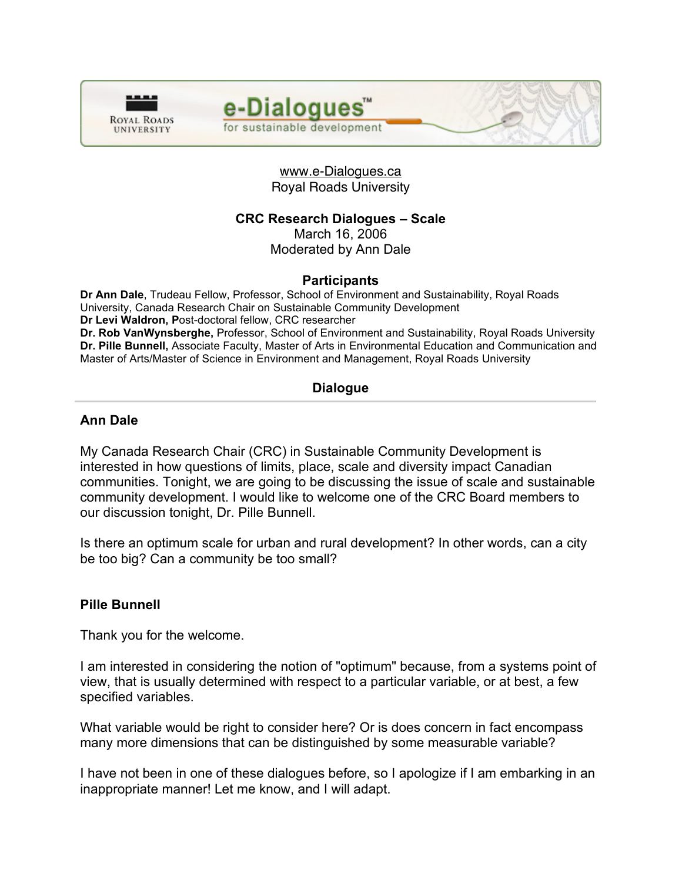



www.e-Dialogues.ca Royal Roads University

# **CRC Research Dialogues – Scale**

March 16, 2006

Moderated by Ann Dale

## **Participants**

**Dr Ann Dale**, Trudeau Fellow, Professor, School of Environment and Sustainability, Royal Roads University, Canada Research Chair on Sustainable Community Development **Dr Levi Waldron, P**ost-doctoral fellow, CRC researcher **Dr. Rob VanWynsberghe,** Professor, School of Environment and Sustainability, Royal Roads University **Dr. Pille Bunnell,** Associate Faculty, Master of Arts in Environmental Education and Communication and Master of Arts/Master of Science in Environment and Management, Royal Roads University

# **Dialogue**

## **Ann Dale**

My Canada Research Chair (CRC) in Sustainable Community Development is interested in how questions of limits, place, scale and diversity impact Canadian communities. Tonight, we are going to be discussing the issue of scale and sustainable community development. I would like to welcome one of the CRC Board members to our discussion tonight, Dr. Pille Bunnell.

Is there an optimum scale for urban and rural development? In other words, can a city be too big? Can a community be too small?

## **Pille Bunnell**

Thank you for the welcome.

I am interested in considering the notion of "optimum" because, from a systems point of view, that is usually determined with respect to a particular variable, or at best, a few specified variables.

What variable would be right to consider here? Or is does concern in fact encompass many more dimensions that can be distinguished by some measurable variable?

I have not been in one of these dialogues before, so I apologize if I am embarking in an inappropriate manner! Let me know, and I will adapt.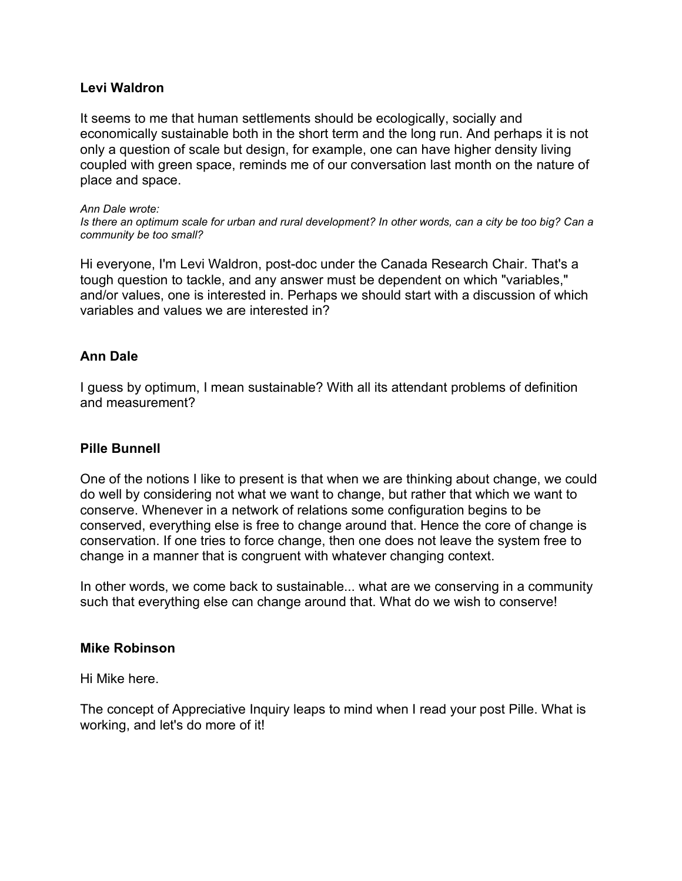## **Levi Waldron**

It seems to me that human settlements should be ecologically, socially and economically sustainable both in the short term and the long run. And perhaps it is not only a question of scale but design, for example, one can have higher density living coupled with green space, reminds me of our conversation last month on the nature of place and space.

#### *Ann Dale wrote:*

Is there an optimum scale for urban and rural development? In other words, can a city be too big? Can a *community be too small?*

Hi everyone, I'm Levi Waldron, post-doc under the Canada Research Chair. That's a tough question to tackle, and any answer must be dependent on which "variables," and/or values, one is interested in. Perhaps we should start with a discussion of which variables and values we are interested in?

### **Ann Dale**

I guess by optimum, I mean sustainable? With all its attendant problems of definition and measurement?

### **Pille Bunnell**

One of the notions I like to present is that when we are thinking about change, we could do well by considering not what we want to change, but rather that which we want to conserve. Whenever in a network of relations some configuration begins to be conserved, everything else is free to change around that. Hence the core of change is conservation. If one tries to force change, then one does not leave the system free to change in a manner that is congruent with whatever changing context.

In other words, we come back to sustainable... what are we conserving in a community such that everything else can change around that. What do we wish to conserve!

### **Mike Robinson**

Hi Mike here.

The concept of Appreciative Inquiry leaps to mind when I read your post Pille. What is working, and let's do more of it!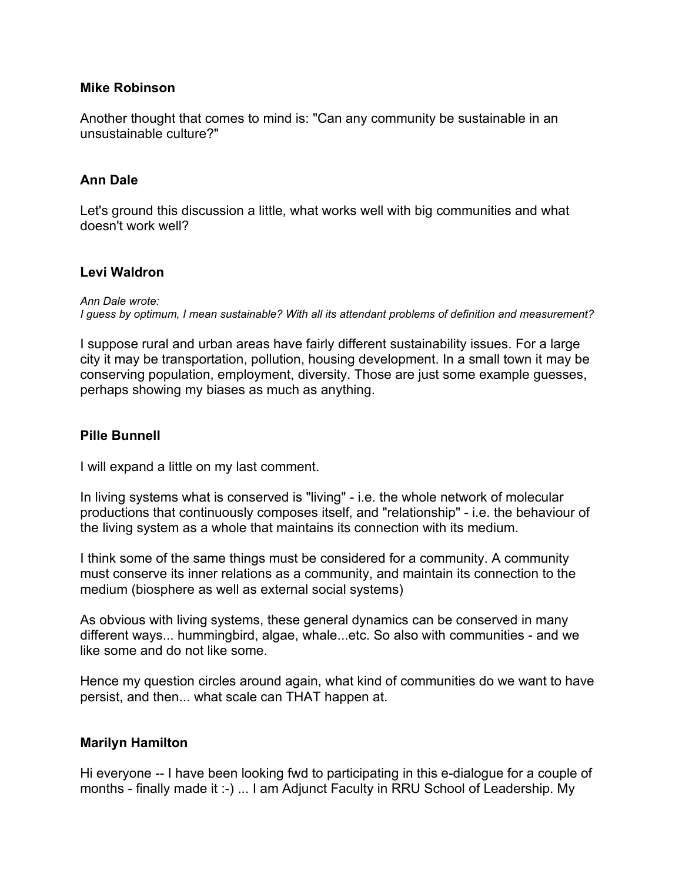## **Mike Robinson**

Another thought that comes to mind is: "Can any community be sustainable in an unsustainable culture?"

## **Ann Dale**

Let's ground this discussion a little, what works well with big communities and what doesn't work well?

### **Levi Waldron**

*Ann Dale wrote:*

*I guess by optimum, I mean sustainable? With all its attendant problems of definition and measurement?*

I suppose rural and urban areas have fairly different sustainability issues. For a large city it may be transportation, pollution, housing development. In a small town it may be conserving population, employment, diversity. Those are just some example guesses, perhaps showing my biases as much as anything.

## **Pille Bunnell**

I will expand a little on my last comment.

In living systems what is conserved is "living" - i.e. the whole network of molecular productions that continuously composes itself, and "relationship" - i.e. the behaviour of the living system as a whole that maintains its connection with its medium.

I think some of the same things must be considered for a community. A community must conserve its inner relations as a community, and maintain its connection to the medium (biosphere as well as external social systems)

As obvious with living systems, these general dynamics can be conserved in many different ways... hummingbird, algae, whale...etc. So also with communities - and we like some and do not like some.

Hence my question circles around again, what kind of communities do we want to have persist, and then... what scale can THAT happen at.

### **Marilyn Hamilton**

Hi everyone -- I have been looking fwd to participating in this e-dialogue for a couple of months - finally made it :-) ... I am Adjunct Faculty in RRU School of Leadership. My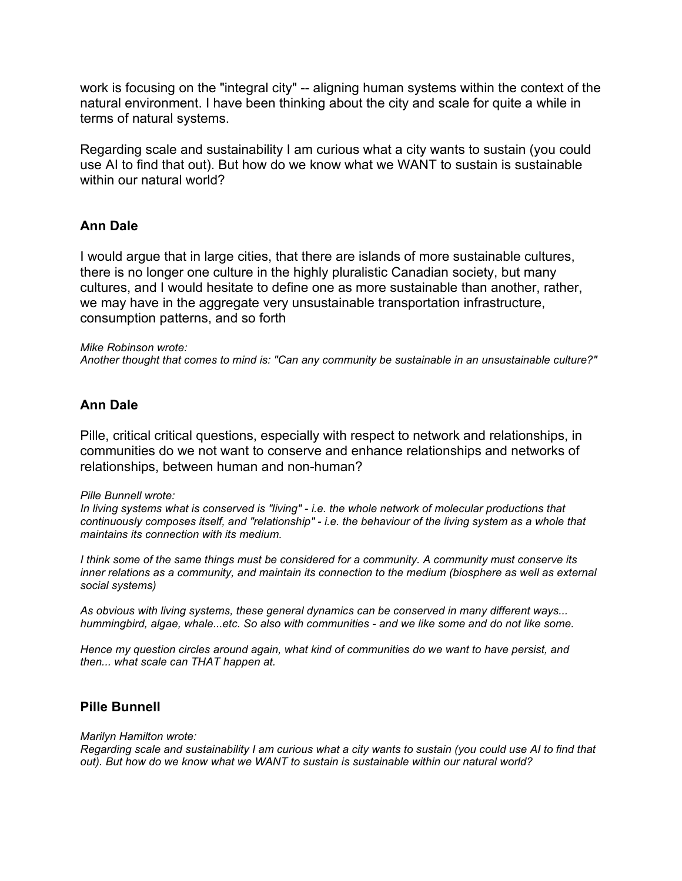work is focusing on the "integral city" -- aligning human systems within the context of the natural environment. I have been thinking about the city and scale for quite a while in terms of natural systems.

Regarding scale and sustainability I am curious what a city wants to sustain (you could use AI to find that out). But how do we know what we WANT to sustain is sustainable within our natural world?

## **Ann Dale**

I would argue that in large cities, that there are islands of more sustainable cultures, there is no longer one culture in the highly pluralistic Canadian society, but many cultures, and I would hesitate to define one as more sustainable than another, rather, we may have in the aggregate very unsustainable transportation infrastructure, consumption patterns, and so forth

#### *Mike Robinson wrote:*

*Another thought that comes to mind is: "Can any community be sustainable in an unsustainable culture?"*

## **Ann Dale**

Pille, critical critical questions, especially with respect to network and relationships, in communities do we not want to conserve and enhance relationships and networks of relationships, between human and non-human?

#### *Pille Bunnell wrote:*

*In living systems what is conserved is "living" - i.e. the whole network of molecular productions that* continuously composes itself, and "relationship" - i.e. the behaviour of the living system as a whole that *maintains its connection with its medium.*

*I think some of the same things must be considered for a community. A community must conserve its inner relations as a community, and maintain its connection to the medium (biosphere as well as external social systems)*

*As obvious with living systems, these general dynamics can be conserved in many different ways... hummingbird, algae, whale...etc. So also with communities - and we like some and do not like some.*

*Hence my question circles around again, what kind of communities do we want to have persist, and then... what scale can THAT happen at.*

### **Pille Bunnell**

#### *Marilyn Hamilton wrote:*

Regarding scale and sustainability I am curious what a city wants to sustain (you could use AI to find that *out). But how do we know what we WANT to sustain is sustainable within our natural world?*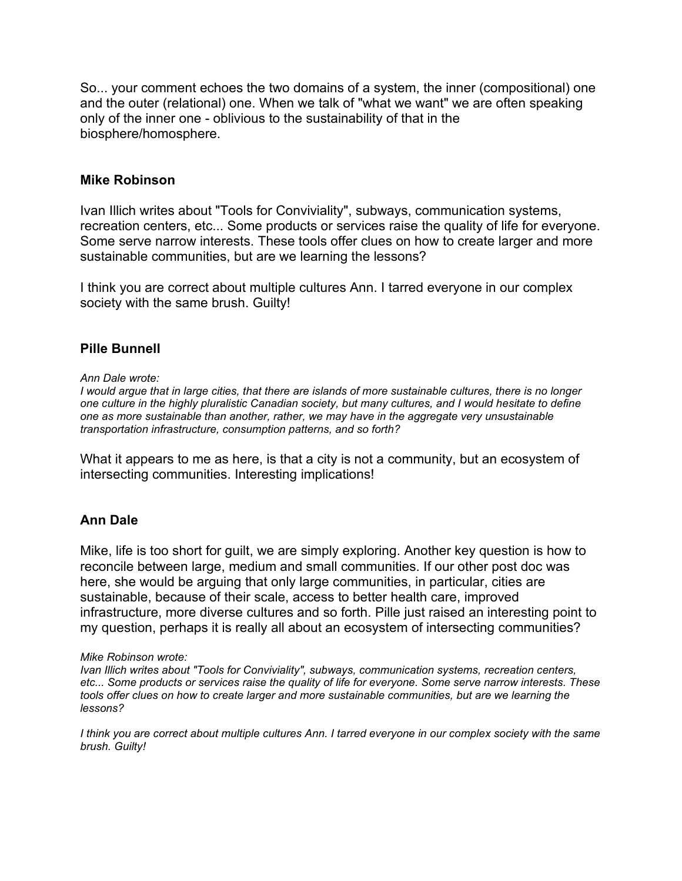So... your comment echoes the two domains of a system, the inner (compositional) one and the outer (relational) one. When we talk of "what we want" we are often speaking only of the inner one - oblivious to the sustainability of that in the biosphere/homosphere.

### **Mike Robinson**

Ivan Illich writes about "Tools for Conviviality", subways, communication systems, recreation centers, etc... Some products or services raise the quality of life for everyone. Some serve narrow interests. These tools offer clues on how to create larger and more sustainable communities, but are we learning the lessons?

I think you are correct about multiple cultures Ann. I tarred everyone in our complex society with the same brush. Guilty!

## **Pille Bunnell**

*Ann Dale wrote:*

I would arque that in large cities, that there are islands of more sustainable cultures, there is no longer *one culture in the highly pluralistic Canadian society, but many cultures, and I would hesitate to define one as more sustainable than another, rather, we may have in the aggregate very unsustainable transportation infrastructure, consumption patterns, and so forth?*

What it appears to me as here, is that a city is not a community, but an ecosystem of intersecting communities. Interesting implications!

### **Ann Dale**

Mike, life is too short for guilt, we are simply exploring. Another key question is how to reconcile between large, medium and small communities. If our other post doc was here, she would be arguing that only large communities, in particular, cities are sustainable, because of their scale, access to better health care, improved infrastructure, more diverse cultures and so forth. Pille just raised an interesting point to my question, perhaps it is really all about an ecosystem of intersecting communities?

#### *Mike Robinson wrote:*

*Ivan Illich writes about "Tools for Conviviality", subways, communication systems, recreation centers,* etc... Some products or services raise the quality of life for everyone. Some serve narrow interests. These *tools offer clues on how to create larger and more sustainable communities, but are we learning the lessons?*

I think you are correct about multiple cultures Ann. I tarred everyone in our complex society with the same *brush. Guilty!*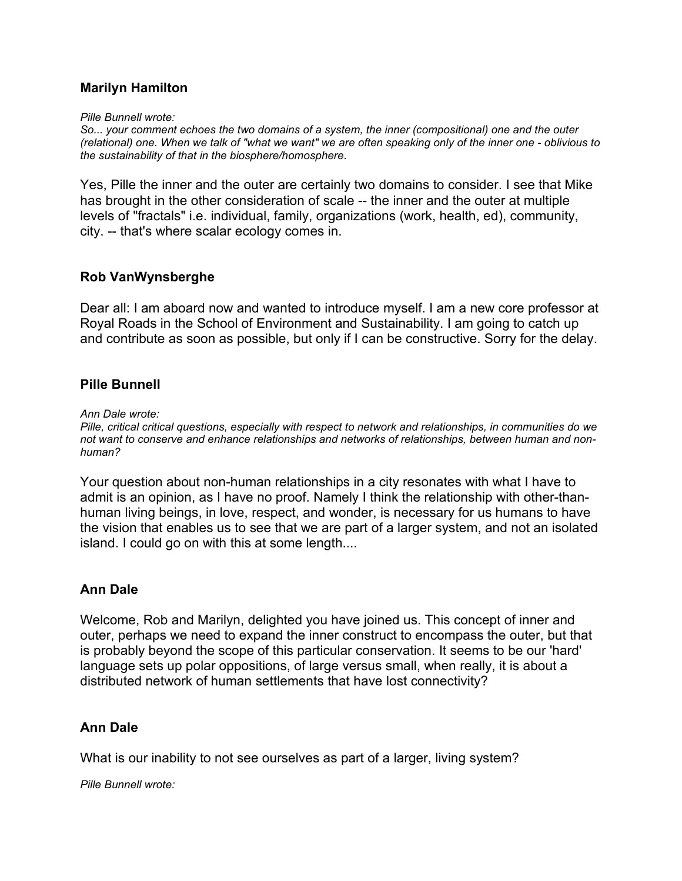# **Marilyn Hamilton**

*Pille Bunnell wrote:*

*So... your comment echoes the two domains of a system, the inner (compositional) one and the outer* (relational) one. When we talk of "what we want" we are often speaking only of the inner one - oblivious to *the sustainability of that in the biosphere/homosphere.*

Yes, Pille the inner and the outer are certainly two domains to consider. I see that Mike has brought in the other consideration of scale -- the inner and the outer at multiple levels of "fractals" i.e. individual, family, organizations (work, health, ed), community, city. -- that's where scalar ecology comes in.

## **Rob VanWynsberghe**

Dear all: I am aboard now and wanted to introduce myself. I am a new core professor at Royal Roads in the School of Environment and Sustainability. I am going to catch up and contribute as soon as possible, but only if I can be constructive. Sorry for the delay.

## **Pille Bunnell**

*Ann Dale wrote:*

*Pille, critical critical questions, especially with respect to network and relationships, in communities do we not want to conserve and enhance relationships and networks of relationships, between human and nonhuman?*

Your question about non-human relationships in a city resonates with what I have to admit is an opinion, as I have no proof. Namely I think the relationship with other-thanhuman living beings, in love, respect, and wonder, is necessary for us humans to have the vision that enables us to see that we are part of a larger system, and not an isolated island. I could go on with this at some length....

## **Ann Dale**

Welcome, Rob and Marilyn, delighted you have joined us. This concept of inner and outer, perhaps we need to expand the inner construct to encompass the outer, but that is probably beyond the scope of this particular conservation. It seems to be our 'hard' language sets up polar oppositions, of large versus small, when really, it is about a distributed network of human settlements that have lost connectivity?

## **Ann Dale**

What is our inability to not see ourselves as part of a larger, living system?

*Pille Bunnell wrote:*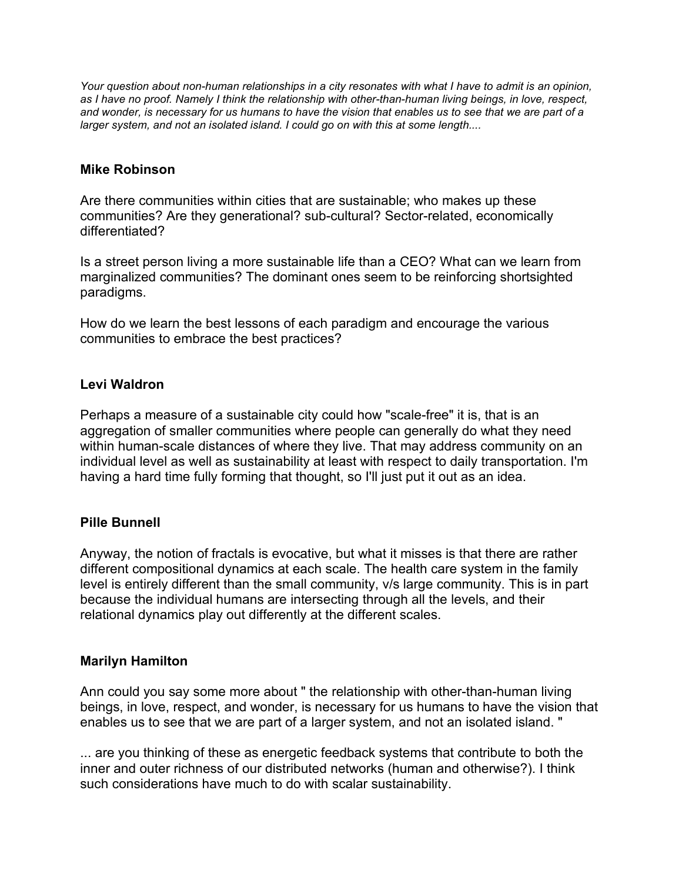Your question about non-human relationships in a city resonates with what I have to admit is an opinion, as I have no proof. Namely I think the relationship with other-than-human living beings, in love, respect, and wonder, is necessary for us humans to have the vision that enables us to see that we are part of a *larger system, and not an isolated island. I could go on with this at some length....*

## **Mike Robinson**

Are there communities within cities that are sustainable; who makes up these communities? Are they generational? sub-cultural? Sector-related, economically differentiated?

Is a street person living a more sustainable life than a CEO? What can we learn from marginalized communities? The dominant ones seem to be reinforcing shortsighted paradigms.

How do we learn the best lessons of each paradigm and encourage the various communities to embrace the best practices?

# **Levi Waldron**

Perhaps a measure of a sustainable city could how "scale-free" it is, that is an aggregation of smaller communities where people can generally do what they need within human-scale distances of where they live. That may address community on an individual level as well as sustainability at least with respect to daily transportation. I'm having a hard time fully forming that thought, so I'll just put it out as an idea.

# **Pille Bunnell**

Anyway, the notion of fractals is evocative, but what it misses is that there are rather different compositional dynamics at each scale. The health care system in the family level is entirely different than the small community, v/s large community. This is in part because the individual humans are intersecting through all the levels, and their relational dynamics play out differently at the different scales.

## **Marilyn Hamilton**

Ann could you say some more about " the relationship with other-than-human living beings, in love, respect, and wonder, is necessary for us humans to have the vision that enables us to see that we are part of a larger system, and not an isolated island. "

... are you thinking of these as energetic feedback systems that contribute to both the inner and outer richness of our distributed networks (human and otherwise?). I think such considerations have much to do with scalar sustainability.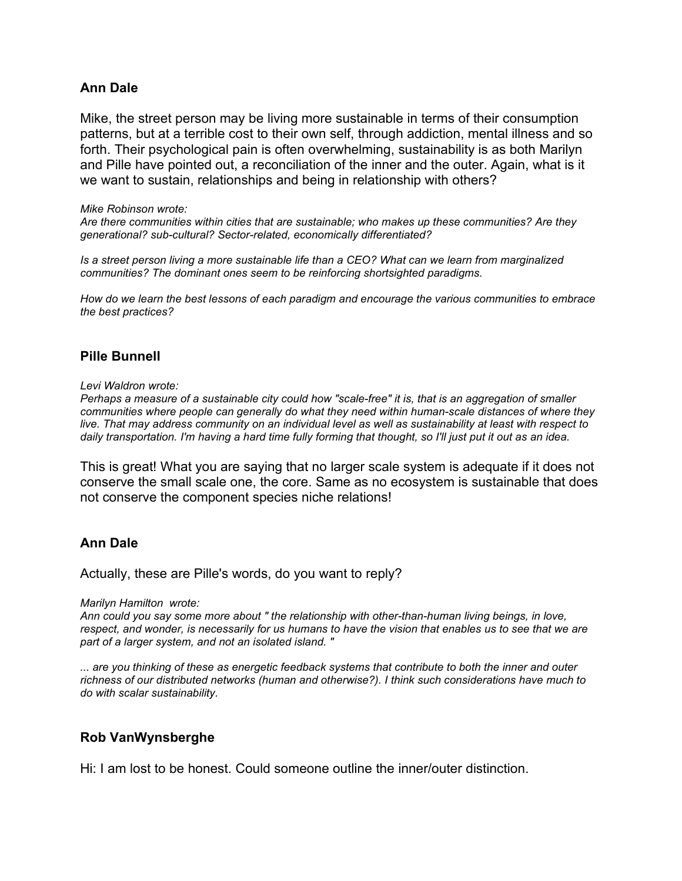### **Ann Dale**

Mike, the street person may be living more sustainable in terms of their consumption patterns, but at a terrible cost to their own self, through addiction, mental illness and so forth. Their psychological pain is often overwhelming, sustainability is as both Marilyn and Pille have pointed out, a reconciliation of the inner and the outer. Again, what is it we want to sustain, relationships and being in relationship with others?

#### *Mike Robinson wrote:*

*Are there communities within cities that are sustainable; who makes up these communities? Are they generational? sub-cultural? Sector-related, economically differentiated?*

*Is a street person living a more sustainable life than a CEO? What can we learn from marginalized communities? The dominant ones seem to be reinforcing shortsighted paradigms.*

*How do we learn the best lessons of each paradigm and encourage the various communities to embrace the best practices?*

## **Pille Bunnell**

#### *Levi Waldron wrote:*

Perhaps a measure of a sustainable city could how "scale-free" it is, that is an aggregation of smaller *communities where people can generally do what they need within human-scale distances of where they* live. That may address community on an individual level as well as sustainability at least with respect to daily transportation. I'm having a hard time fully forming that thought, so I'll just put it out as an idea.

This is great! What you are saying that no larger scale system is adequate if it does not conserve the small scale one, the core. Same as no ecosystem is sustainable that does not conserve the component species niche relations!

### **Ann Dale**

Actually, these are Pille's words, do you want to reply?

*Marilyn Hamilton wrote:*

*Ann could you say some more about " the relationship with other-than-human living beings, in love,* respect, and wonder, is necessarily for us humans to have the vision that enables us to see that we are *part of a larger system, and not an isolated island. "*

... are you thinking of these as energetic feedback systems that contribute to both the inner and outer *richness of our distributed networks (human and otherwise?). I think such considerations have much to do with scalar sustainability.*

### **Rob VanWynsberghe**

Hi: I am lost to be honest. Could someone outline the inner/outer distinction.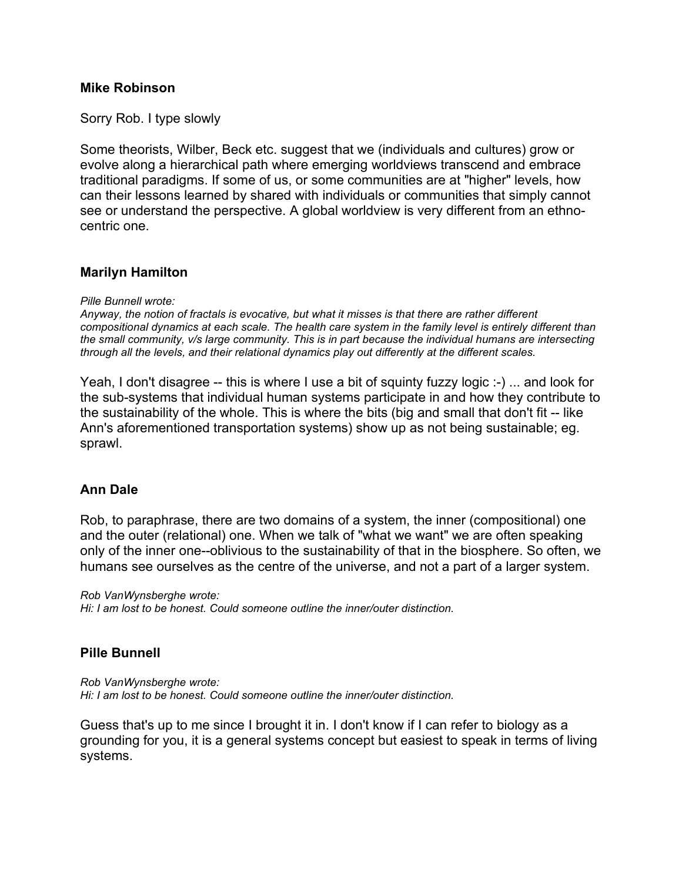### **Mike Robinson**

Sorry Rob. I type slowly

Some theorists, Wilber, Beck etc. suggest that we (individuals and cultures) grow or evolve along a hierarchical path where emerging worldviews transcend and embrace traditional paradigms. If some of us, or some communities are at "higher" levels, how can their lessons learned by shared with individuals or communities that simply cannot see or understand the perspective. A global worldview is very different from an ethnocentric one.

## **Marilyn Hamilton**

*Pille Bunnell wrote:*

*Anyway, the notion of fractals is evocative, but what it misses is that there are rather different* compositional dynamics at each scale. The health care system in the family level is entirely different than *the small community, v/s large community. This is in part because the individual humans are intersecting through all the levels, and their relational dynamics play out differently at the different scales.*

Yeah, I don't disagree -- this is where I use a bit of squinty fuzzy logic :-) ... and look for the sub-systems that individual human systems participate in and how they contribute to the sustainability of the whole. This is where the bits (big and small that don't fit -- like Ann's aforementioned transportation systems) show up as not being sustainable; eg. sprawl.

### **Ann Dale**

Rob, to paraphrase, there are two domains of a system, the inner (compositional) one and the outer (relational) one. When we talk of "what we want" we are often speaking only of the inner one--oblivious to the sustainability of that in the biosphere. So often, we humans see ourselves as the centre of the universe, and not a part of a larger system.

*Rob VanWynsberghe wrote: Hi: I am lost to be honest. Could someone outline the inner/outer distinction.*

## **Pille Bunnell**

*Rob VanWynsberghe wrote: Hi: I am lost to be honest. Could someone outline the inner/outer distinction.*

Guess that's up to me since I brought it in. I don't know if I can refer to biology as a grounding for you, it is a general systems concept but easiest to speak in terms of living systems.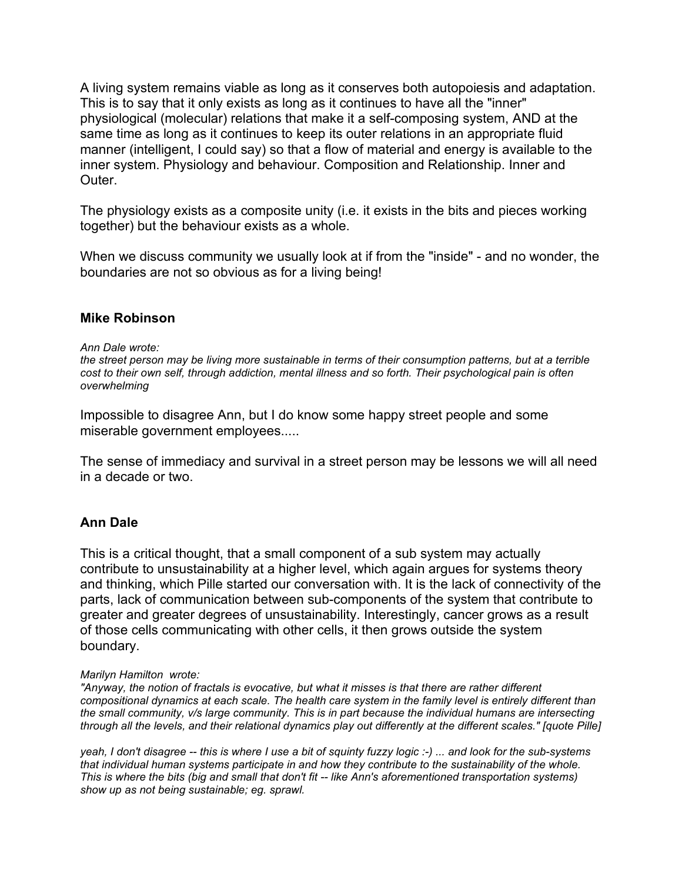A living system remains viable as long as it conserves both autopoiesis and adaptation. This is to say that it only exists as long as it continues to have all the "inner" physiological (molecular) relations that make it a self-composing system, AND at the same time as long as it continues to keep its outer relations in an appropriate fluid manner (intelligent, I could say) so that a flow of material and energy is available to the inner system. Physiology and behaviour. Composition and Relationship. Inner and **Outer** 

The physiology exists as a composite unity (i.e. it exists in the bits and pieces working together) but the behaviour exists as a whole.

When we discuss community we usually look at if from the "inside" - and no wonder, the boundaries are not so obvious as for a living being!

### **Mike Robinson**

#### *Ann Dale wrote:*

the street person may be living more sustainable in terms of their consumption patterns, but at a terrible *cost to their own self, through addiction, mental illness and so forth. Their psychological pain is often overwhelming*

Impossible to disagree Ann, but I do know some happy street people and some miserable government employees.....

The sense of immediacy and survival in a street person may be lessons we will all need in a decade or two.

## **Ann Dale**

This is a critical thought, that a small component of a sub system may actually contribute to unsustainability at a higher level, which again argues for systems theory and thinking, which Pille started our conversation with. It is the lack of connectivity of the parts, lack of communication between sub-components of the system that contribute to greater and greater degrees of unsustainability. Interestingly, cancer grows as a result of those cells communicating with other cells, it then grows outside the system boundary.

#### *Marilyn Hamilton wrote:*

*"Anyway, the notion of fractals is evocative, but what it misses is that there are rather different* compositional dynamics at each scale. The health care system in the family level is entirely different than *the small community, v/s large community. This is in part because the individual humans are intersecting* through all the levels, and their relational dynamics play out differently at the different scales." [quote Pille]

yeah, I don't disagree -- this is where I use a bit of squinty fuzzy logic :-) ... and look for the sub-systems *that individual human systems participate in and how they contribute to the sustainability of the whole. This is where the bits (big and small that don't fit -- like Ann's aforementioned transportation systems) show up as not being sustainable; eg. sprawl.*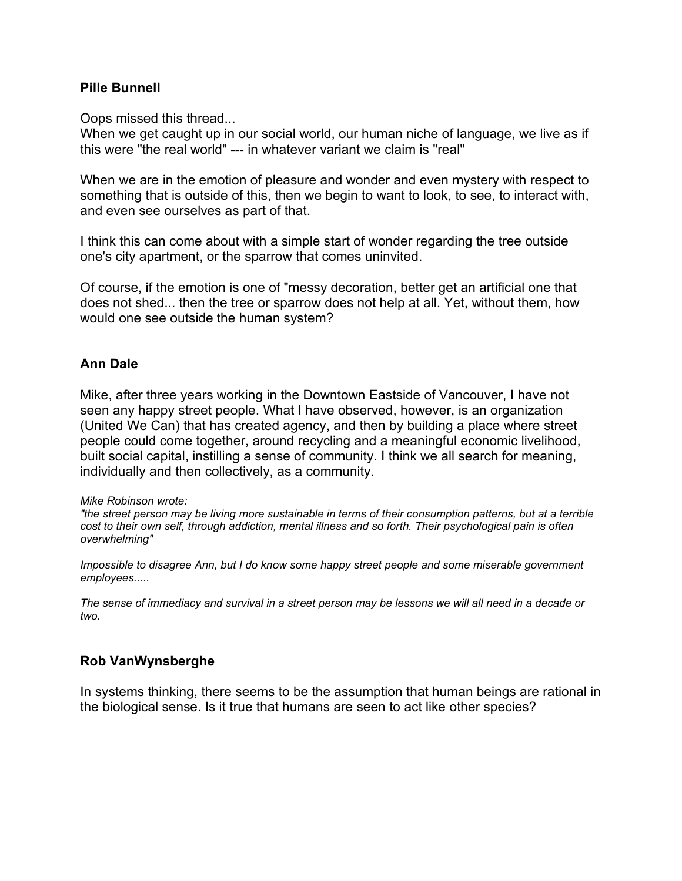### **Pille Bunnell**

Oops missed this thread...

When we get caught up in our social world, our human niche of language, we live as if this were "the real world" --- in whatever variant we claim is "real"

When we are in the emotion of pleasure and wonder and even mystery with respect to something that is outside of this, then we begin to want to look, to see, to interact with, and even see ourselves as part of that.

I think this can come about with a simple start of wonder regarding the tree outside one's city apartment, or the sparrow that comes uninvited.

Of course, if the emotion is one of "messy decoration, better get an artificial one that does not shed... then the tree or sparrow does not help at all. Yet, without them, how would one see outside the human system?

### **Ann Dale**

Mike, after three years working in the Downtown Eastside of Vancouver, I have not seen any happy street people. What I have observed, however, is an organization (United We Can) that has created agency, and then by building a place where street people could come together, around recycling and a meaningful economic livelihood, built social capital, instilling a sense of community. I think we all search for meaning, individually and then collectively, as a community.

#### *Mike Robinson wrote:*

"the street person may be living more sustainable in terms of their consumption patterns, but at a terrible *cost to their own self, through addiction, mental illness and so forth. Their psychological pain is often overwhelming"*

*Impossible to disagree Ann, but I do know some happy street people and some miserable government employees.....*

The sense of immediacy and survival in a street person may be lessons we will all need in a decade or *two.*

### **Rob VanWynsberghe**

In systems thinking, there seems to be the assumption that human beings are rational in the biological sense. Is it true that humans are seen to act like other species?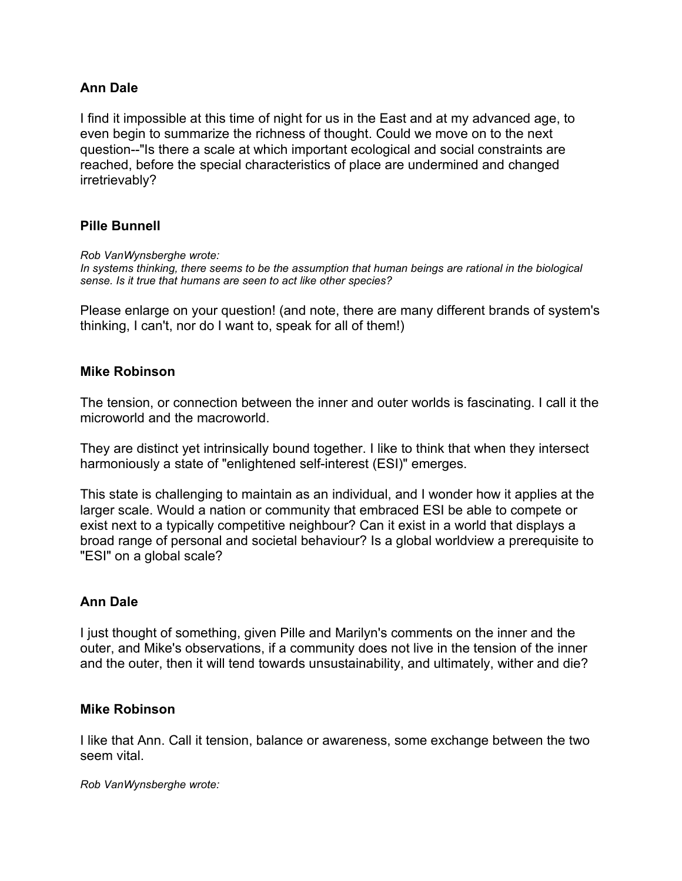## **Ann Dale**

I find it impossible at this time of night for us in the East and at my advanced age, to even begin to summarize the richness of thought. Could we move on to the next question--"Is there a scale at which important ecological and social constraints are reached, before the special characteristics of place are undermined and changed irretrievably?

### **Pille Bunnell**

*Rob VanWynsberghe wrote:*

*In systems thinking, there seems to be the assumption that human beings are rational in the biological sense. Is it true that humans are seen to act like other species?*

Please enlarge on your question! (and note, there are many different brands of system's thinking, I can't, nor do I want to, speak for all of them!)

## **Mike Robinson**

The tension, or connection between the inner and outer worlds is fascinating. I call it the microworld and the macroworld.

They are distinct yet intrinsically bound together. I like to think that when they intersect harmoniously a state of "enlightened self-interest (ESI)" emerges.

This state is challenging to maintain as an individual, and I wonder how it applies at the larger scale. Would a nation or community that embraced ESI be able to compete or exist next to a typically competitive neighbour? Can it exist in a world that displays a broad range of personal and societal behaviour? Is a global worldview a prerequisite to "ESI" on a global scale?

### **Ann Dale**

I just thought of something, given Pille and Marilyn's comments on the inner and the outer, and Mike's observations, if a community does not live in the tension of the inner and the outer, then it will tend towards unsustainability, and ultimately, wither and die?

### **Mike Robinson**

I like that Ann. Call it tension, balance or awareness, some exchange between the two seem vital.

*Rob VanWynsberghe wrote:*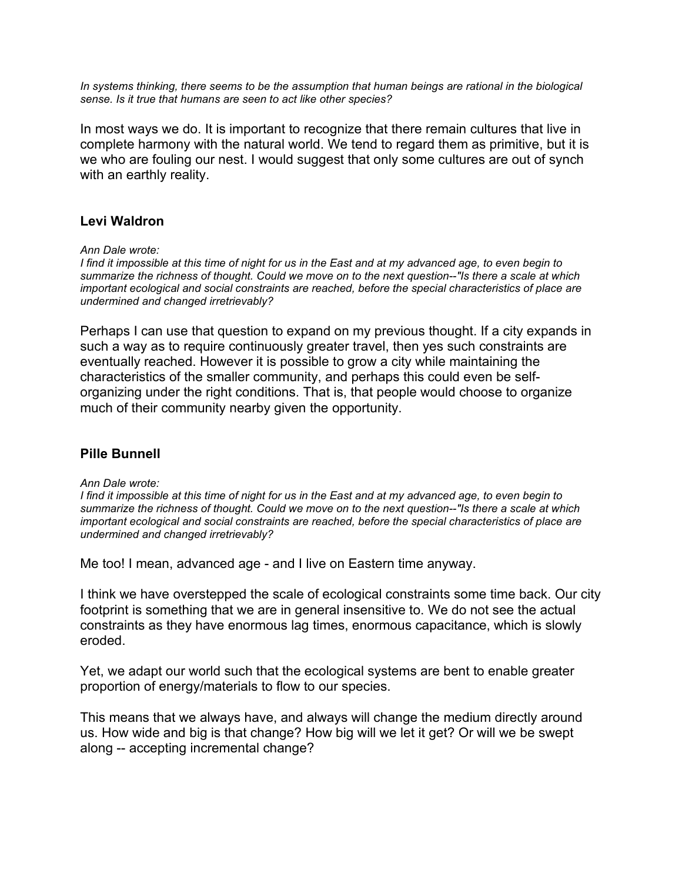*In systems thinking, there seems to be the assumption that human beings are rational in the biological sense. Is it true that humans are seen to act like other species?*

In most ways we do. It is important to recognize that there remain cultures that live in complete harmony with the natural world. We tend to regard them as primitive, but it is we who are fouling our nest. I would suggest that only some cultures are out of synch with an earthly reality.

## **Levi Waldron**

*Ann Dale wrote:*

I find it impossible at this time of night for us in the East and at my advanced age, to even begin to summarize the richness of thought. Could we move on to the next question--"Is there a scale at which *important ecological and social constraints are reached, before the special characteristics of place are undermined and changed irretrievably?*

Perhaps I can use that question to expand on my previous thought. If a city expands in such a way as to require continuously greater travel, then yes such constraints are eventually reached. However it is possible to grow a city while maintaining the characteristics of the smaller community, and perhaps this could even be selforganizing under the right conditions. That is, that people would choose to organize much of their community nearby given the opportunity.

## **Pille Bunnell**

*Ann Dale wrote:*

I find it impossible at this time of night for us in the East and at my advanced age, to even begin to summarize the richness of thought. Could we move on to the next question--"Is there a scale at which *important ecological and social constraints are reached, before the special characteristics of place are undermined and changed irretrievably?*

Me too! I mean, advanced age - and I live on Eastern time anyway.

I think we have overstepped the scale of ecological constraints some time back. Our city footprint is something that we are in general insensitive to. We do not see the actual constraints as they have enormous lag times, enormous capacitance, which is slowly eroded.

Yet, we adapt our world such that the ecological systems are bent to enable greater proportion of energy/materials to flow to our species.

This means that we always have, and always will change the medium directly around us. How wide and big is that change? How big will we let it get? Or will we be swept along -- accepting incremental change?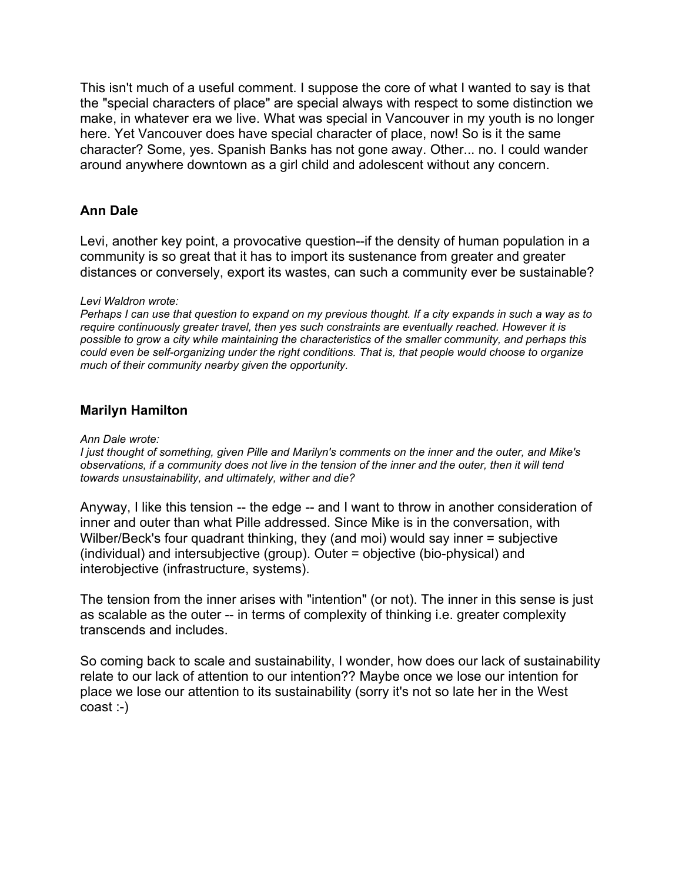This isn't much of a useful comment. I suppose the core of what I wanted to say is that the "special characters of place" are special always with respect to some distinction we make, in whatever era we live. What was special in Vancouver in my youth is no longer here. Yet Vancouver does have special character of place, now! So is it the same character? Some, yes. Spanish Banks has not gone away. Other... no. I could wander around anywhere downtown as a girl child and adolescent without any concern.

# **Ann Dale**

Levi, another key point, a provocative question--if the density of human population in a community is so great that it has to import its sustenance from greater and greater distances or conversely, export its wastes, can such a community ever be sustainable?

### *Levi Waldron wrote:*

Perhaps I can use that question to expand on my previous thought. If a city expands in such a way as to *require continuously greater travel, then yes such constraints are eventually reached. However it is possible to grow a city while maintaining the characteristics of the smaller community, and perhaps this could even be self-organizing under the right conditions. That is, that people would choose to organize much of their community nearby given the opportunity.*

## **Marilyn Hamilton**

#### *Ann Dale wrote:*

I just thought of something, given Pille and Marilyn's comments on the inner and the outer, and Mike's observations, if a community does not live in the tension of the inner and the outer, then it will tend *towards unsustainability, and ultimately, wither and die?*

Anyway, I like this tension -- the edge -- and I want to throw in another consideration of inner and outer than what Pille addressed. Since Mike is in the conversation, with Wilber/Beck's four quadrant thinking, they (and moi) would say inner = subjective (individual) and intersubjective (group). Outer = objective (bio-physical) and interobjective (infrastructure, systems).

The tension from the inner arises with "intention" (or not). The inner in this sense is just as scalable as the outer -- in terms of complexity of thinking i.e. greater complexity transcends and includes.

So coming back to scale and sustainability, I wonder, how does our lack of sustainability relate to our lack of attention to our intention?? Maybe once we lose our intention for place we lose our attention to its sustainability (sorry it's not so late her in the West coast :-)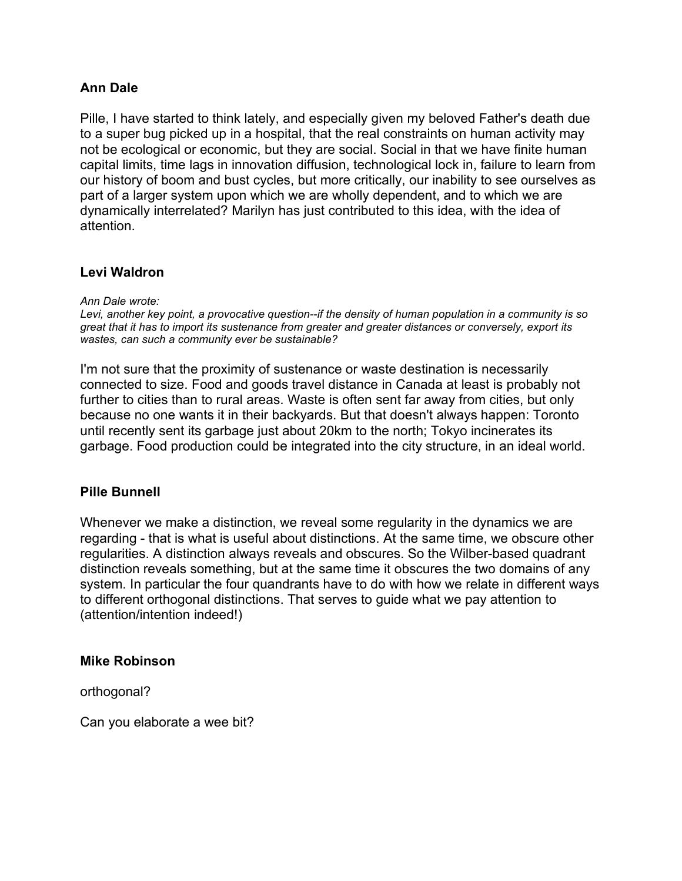## **Ann Dale**

Pille, I have started to think lately, and especially given my beloved Father's death due to a super bug picked up in a hospital, that the real constraints on human activity may not be ecological or economic, but they are social. Social in that we have finite human capital limits, time lags in innovation diffusion, technological lock in, failure to learn from our history of boom and bust cycles, but more critically, our inability to see ourselves as part of a larger system upon which we are wholly dependent, and to which we are dynamically interrelated? Marilyn has just contributed to this idea, with the idea of attention.

### **Levi Waldron**

*Ann Dale wrote:*

*Levi, another key point, a provocative question--if the density of human population in a community is so great that it has to import its sustenance from greater and greater distances or conversely, export its wastes, can such a community ever be sustainable?*

I'm not sure that the proximity of sustenance or waste destination is necessarily connected to size. Food and goods travel distance in Canada at least is probably not further to cities than to rural areas. Waste is often sent far away from cities, but only because no one wants it in their backyards. But that doesn't always happen: Toronto until recently sent its garbage just about 20km to the north; Tokyo incinerates its garbage. Food production could be integrated into the city structure, in an ideal world.

### **Pille Bunnell**

Whenever we make a distinction, we reveal some regularity in the dynamics we are regarding - that is what is useful about distinctions. At the same time, we obscure other regularities. A distinction always reveals and obscures. So the Wilber-based quadrant distinction reveals something, but at the same time it obscures the two domains of any system. In particular the four quandrants have to do with how we relate in different ways to different orthogonal distinctions. That serves to guide what we pay attention to (attention/intention indeed!)

### **Mike Robinson**

orthogonal?

Can you elaborate a wee bit?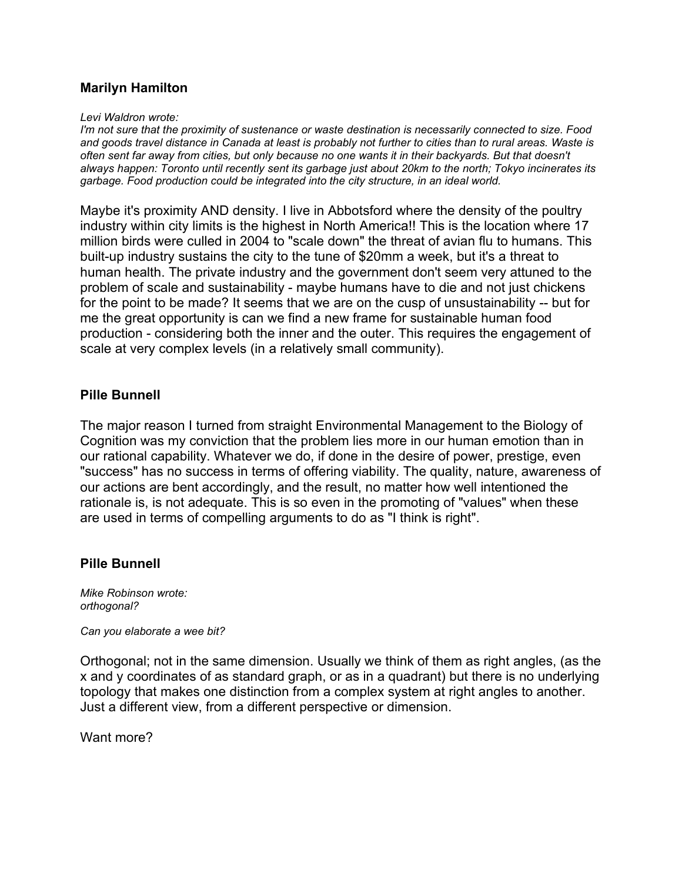# **Marilyn Hamilton**

#### *Levi Waldron wrote:*

*I'm not sure that the proximity of sustenance or waste destination is necessarily connected to size. Food* and goods travel distance in Canada at least is probably not further to cities than to rural areas. Waste is often sent far away from cities, but only because no one wants it in their backyards. But that doesn't always happen: Toronto until recently sent its garbage just about 20km to the north; Tokyo incinerates its *garbage. Food production could be integrated into the city structure, in an ideal world.*

Maybe it's proximity AND density. I live in Abbotsford where the density of the poultry industry within city limits is the highest in North America!! This is the location where 17 million birds were culled in 2004 to "scale down" the threat of avian flu to humans. This built-up industry sustains the city to the tune of \$20mm a week, but it's a threat to human health. The private industry and the government don't seem very attuned to the problem of scale and sustainability - maybe humans have to die and not just chickens for the point to be made? It seems that we are on the cusp of unsustainability -- but for me the great opportunity is can we find a new frame for sustainable human food production - considering both the inner and the outer. This requires the engagement of scale at very complex levels (in a relatively small community).

## **Pille Bunnell**

The major reason I turned from straight Environmental Management to the Biology of Cognition was my conviction that the problem lies more in our human emotion than in our rational capability. Whatever we do, if done in the desire of power, prestige, even "success" has no success in terms of offering viability. The quality, nature, awareness of our actions are bent accordingly, and the result, no matter how well intentioned the rationale is, is not adequate. This is so even in the promoting of "values" when these are used in terms of compelling arguments to do as "I think is right".

## **Pille Bunnell**

*Mike Robinson wrote: orthogonal?*

*Can you elaborate a wee bit?*

Orthogonal; not in the same dimension. Usually we think of them as right angles, (as the x and y coordinates of as standard graph, or as in a quadrant) but there is no underlying topology that makes one distinction from a complex system at right angles to another. Just a different view, from a different perspective or dimension.

Want more?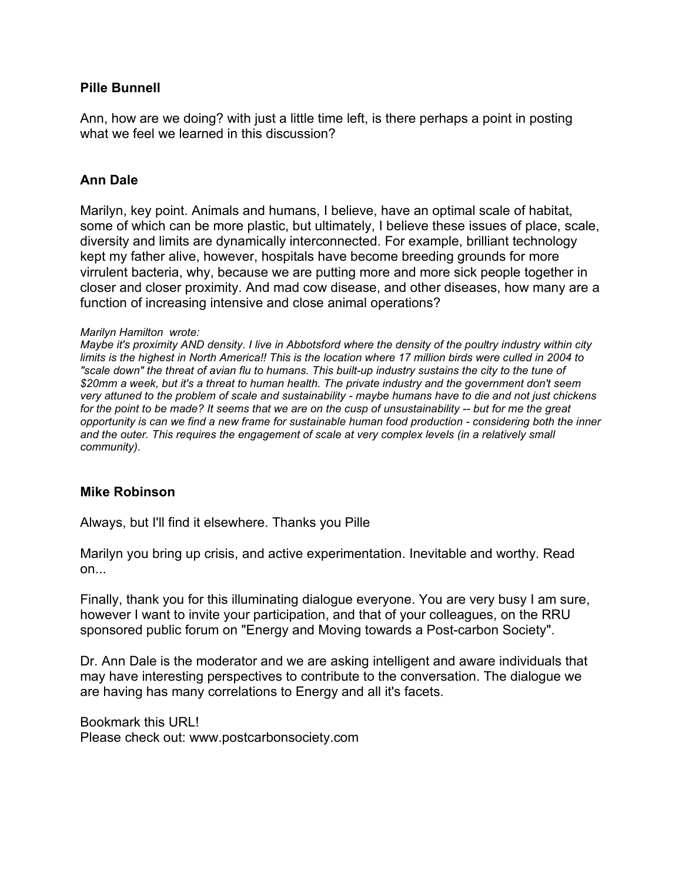## **Pille Bunnell**

Ann, how are we doing? with just a little time left, is there perhaps a point in posting what we feel we learned in this discussion?

## **Ann Dale**

Marilyn, key point. Animals and humans, I believe, have an optimal scale of habitat, some of which can be more plastic, but ultimately, I believe these issues of place, scale, diversity and limits are dynamically interconnected. For example, brilliant technology kept my father alive, however, hospitals have become breeding grounds for more virrulent bacteria, why, because we are putting more and more sick people together in closer and closer proximity. And mad cow disease, and other diseases, how many are a function of increasing intensive and close animal operations?

#### *Marilyn Hamilton wrote:*

Maybe it's proximity AND density. I live in Abbotsford where the density of the poultry industry within city limits is the highest in North America!! This is the location where 17 million birds were culled in 2004 to "scale down" the threat of avian flu to humans. This built-up industry sustains the city to the tune of \$20mm a week, but it's a threat to human health. The private industry and the government don't seem very attuned to the problem of scale and sustainability - maybe humans have to die and not just chickens for the point to be made? It seems that we are on the cusp of unsustainability -- but for me the great opportunity is can we find a new frame for sustainable human food production - considering both the inner *and the outer. This requires the engagement of scale at very complex levels (in a relatively small community).*

### **Mike Robinson**

Always, but I'll find it elsewhere. Thanks you Pille

Marilyn you bring up crisis, and active experimentation. Inevitable and worthy. Read on...

Finally, thank you for this illuminating dialogue everyone. You are very busy I am sure, however I want to invite your participation, and that of your colleagues, on the RRU sponsored public forum on "Energy and Moving towards a Post-carbon Society".

Dr. Ann Dale is the moderator and we are asking intelligent and aware individuals that may have interesting perspectives to contribute to the conversation. The dialogue we are having has many correlations to Energy and all it's facets.

Bookmark this URL! Please check out: www.postcarbonsociety.com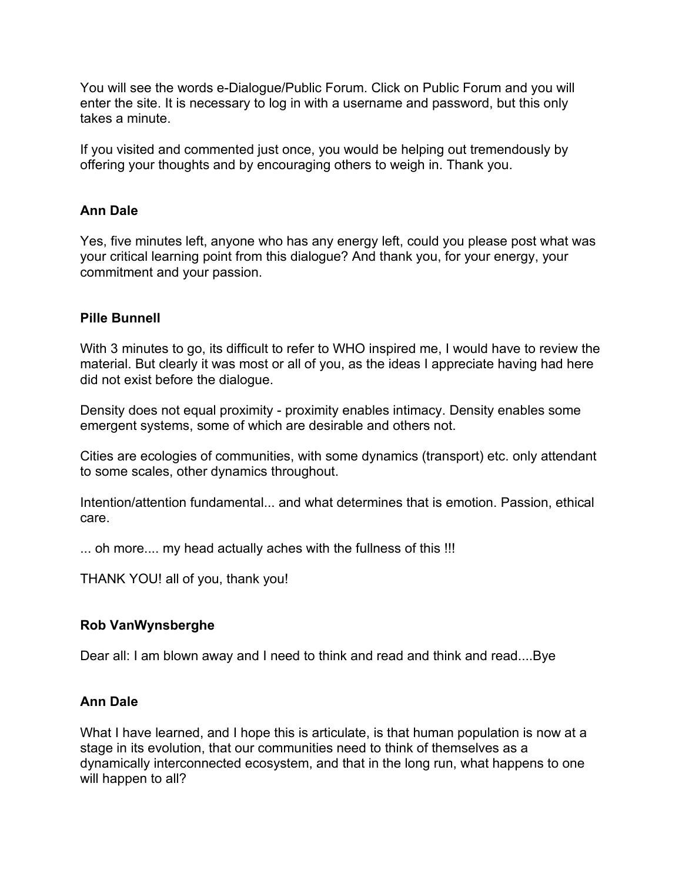You will see the words e-Dialogue/Public Forum. Click on Public Forum and you will enter the site. It is necessary to log in with a username and password, but this only takes a minute.

If you visited and commented just once, you would be helping out tremendously by offering your thoughts and by encouraging others to weigh in. Thank you.

# **Ann Dale**

Yes, five minutes left, anyone who has any energy left, could you please post what was your critical learning point from this dialogue? And thank you, for your energy, your commitment and your passion.

# **Pille Bunnell**

With 3 minutes to go, its difficult to refer to WHO inspired me, I would have to review the material. But clearly it was most or all of you, as the ideas I appreciate having had here did not exist before the dialogue.

Density does not equal proximity - proximity enables intimacy. Density enables some emergent systems, some of which are desirable and others not.

Cities are ecologies of communities, with some dynamics (transport) etc. only attendant to some scales, other dynamics throughout.

Intention/attention fundamental... and what determines that is emotion. Passion, ethical care.

... oh more.... my head actually aches with the fullness of this !!!

THANK YOU! all of you, thank you!

## **Rob VanWynsberghe**

Dear all: I am blown away and I need to think and read and think and read....Bye

## **Ann Dale**

What I have learned, and I hope this is articulate, is that human population is now at a stage in its evolution, that our communities need to think of themselves as a dynamically interconnected ecosystem, and that in the long run, what happens to one will happen to all?